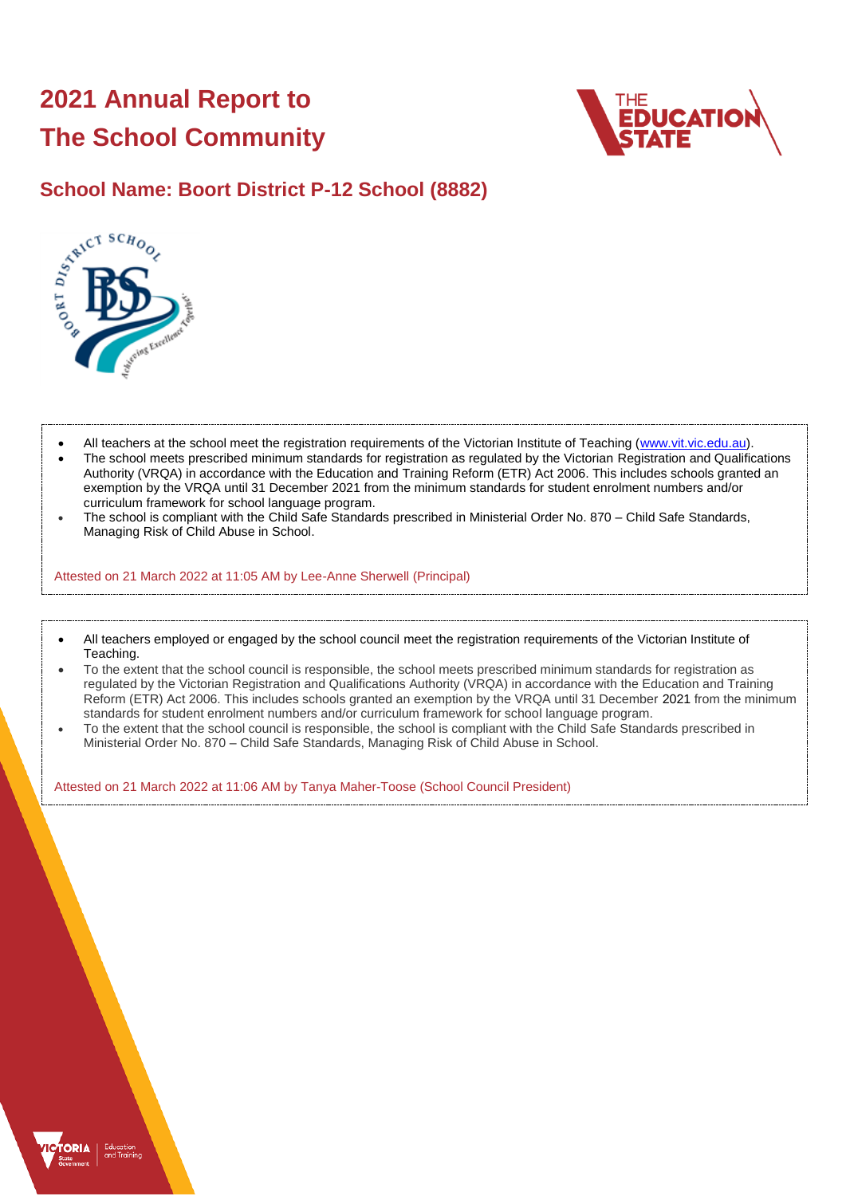## **2021 Annual Report to The School Community**





- All teachers at the school meet the registration requirements of the Victorian Institute of Teaching [\(www.vit.vic.edu.au\)](https://www.vit.vic.edu.au/).
- The school meets prescribed minimum standards for registration as regulated by the Victorian Registration and Qualifications Authority (VRQA) in accordance with the Education and Training Reform (ETR) Act 2006. This includes schools granted an exemption by the VRQA until 31 December 2021 from the minimum standards for student enrolment numbers and/or curriculum framework for school language program.
- The school is compliant with the Child Safe Standards prescribed in Ministerial Order No. 870 Child Safe Standards, Managing Risk of Child Abuse in School.

Attested on 21 March 2022 at 11:05 AM by Lee-Anne Sherwell (Principal)

- All teachers employed or engaged by the school council meet the registration requirements of the Victorian Institute of Teaching.
- To the extent that the school council is responsible, the school meets prescribed minimum standards for registration as regulated by the Victorian Registration and Qualifications Authority (VRQA) in accordance with the Education and Training Reform (ETR) Act 2006. This includes schools granted an exemption by the VRQA until 31 December 2021 from the minimum standards for student enrolment numbers and/or curriculum framework for school language program.
- To the extent that the school council is responsible, the school is compliant with the Child Safe Standards prescribed in Ministerial Order No. 870 – Child Safe Standards, Managing Risk of Child Abuse in School.

Attested on 21 March 2022 at 11:06 AM by Tanya Maher-Toose (School Council President)

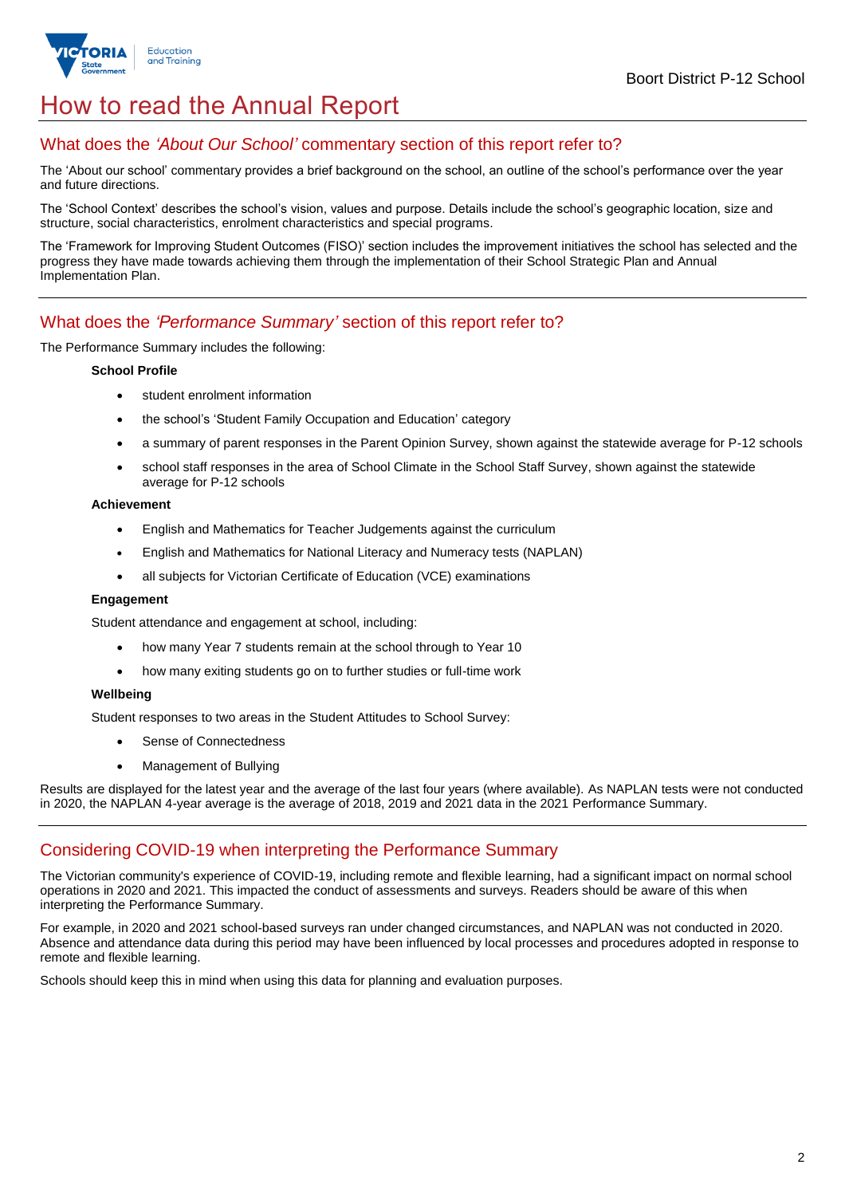

## How to read the Annual Report

### What does the *'About Our School'* commentary section of this report refer to?

The 'About our school' commentary provides a brief background on the school, an outline of the school's performance over the year and future directions.

The 'School Context' describes the school's vision, values and purpose. Details include the school's geographic location, size and structure, social characteristics, enrolment characteristics and special programs.

The 'Framework for Improving Student Outcomes (FISO)' section includes the improvement initiatives the school has selected and the progress they have made towards achieving them through the implementation of their School Strategic Plan and Annual Implementation Plan.

## What does the *'Performance Summary'* section of this report refer to?

#### The Performance Summary includes the following:

#### **School Profile**

- student enrolment information
- the school's 'Student Family Occupation and Education' category
- a summary of parent responses in the Parent Opinion Survey, shown against the statewide average for P-12 schools
- school staff responses in the area of School Climate in the School Staff Survey, shown against the statewide average for P-12 schools

#### **Achievement**

- English and Mathematics for Teacher Judgements against the curriculum
- English and Mathematics for National Literacy and Numeracy tests (NAPLAN)
- all subjects for Victorian Certificate of Education (VCE) examinations

#### **Engagement**

Student attendance and engagement at school, including:

- how many Year 7 students remain at the school through to Year 10
- how many exiting students go on to further studies or full-time work

#### **Wellbeing**

Student responses to two areas in the Student Attitudes to School Survey:

- Sense of Connectedness
- Management of Bullying

Results are displayed for the latest year and the average of the last four years (where available). As NAPLAN tests were not conducted in 2020, the NAPLAN 4-year average is the average of 2018, 2019 and 2021 data in the 2021 Performance Summary.

### Considering COVID-19 when interpreting the Performance Summary

The Victorian community's experience of COVID-19, including remote and flexible learning, had a significant impact on normal school operations in 2020 and 2021. This impacted the conduct of assessments and surveys. Readers should be aware of this when interpreting the Performance Summary.

For example, in 2020 and 2021 school-based surveys ran under changed circumstances, and NAPLAN was not conducted in 2020. Absence and attendance data during this period may have been influenced by local processes and procedures adopted in response to remote and flexible learning.

Schools should keep this in mind when using this data for planning and evaluation purposes.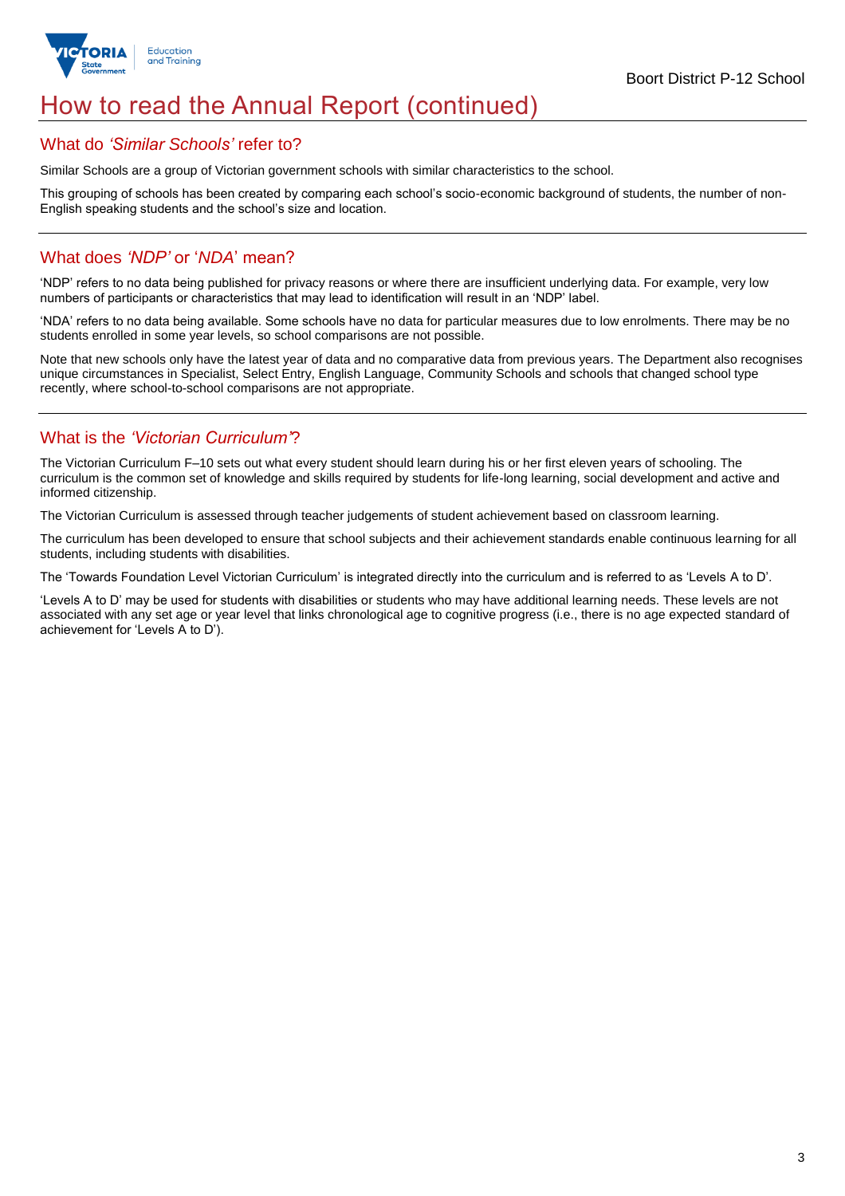

## How to read the Annual Report (continued)

### What do *'Similar Schools'* refer to?

Similar Schools are a group of Victorian government schools with similar characteristics to the school.

This grouping of schools has been created by comparing each school's socio-economic background of students, the number of non-English speaking students and the school's size and location.

## What does *'NDP'* or '*NDA*' mean?

'NDP' refers to no data being published for privacy reasons or where there are insufficient underlying data. For example, very low numbers of participants or characteristics that may lead to identification will result in an 'NDP' label.

'NDA' refers to no data being available. Some schools have no data for particular measures due to low enrolments. There may be no students enrolled in some year levels, so school comparisons are not possible.

Note that new schools only have the latest year of data and no comparative data from previous years. The Department also recognises unique circumstances in Specialist, Select Entry, English Language, Community Schools and schools that changed school type recently, where school-to-school comparisons are not appropriate.

## What is the *'Victorian Curriculum'*?

The Victorian Curriculum F–10 sets out what every student should learn during his or her first eleven years of schooling. The curriculum is the common set of knowledge and skills required by students for life-long learning, social development and active and informed citizenship.

The Victorian Curriculum is assessed through teacher judgements of student achievement based on classroom learning.

The curriculum has been developed to ensure that school subjects and their achievement standards enable continuous learning for all students, including students with disabilities.

The 'Towards Foundation Level Victorian Curriculum' is integrated directly into the curriculum and is referred to as 'Levels A to D'.

'Levels A to D' may be used for students with disabilities or students who may have additional learning needs. These levels are not associated with any set age or year level that links chronological age to cognitive progress (i.e., there is no age expected standard of achievement for 'Levels A to D').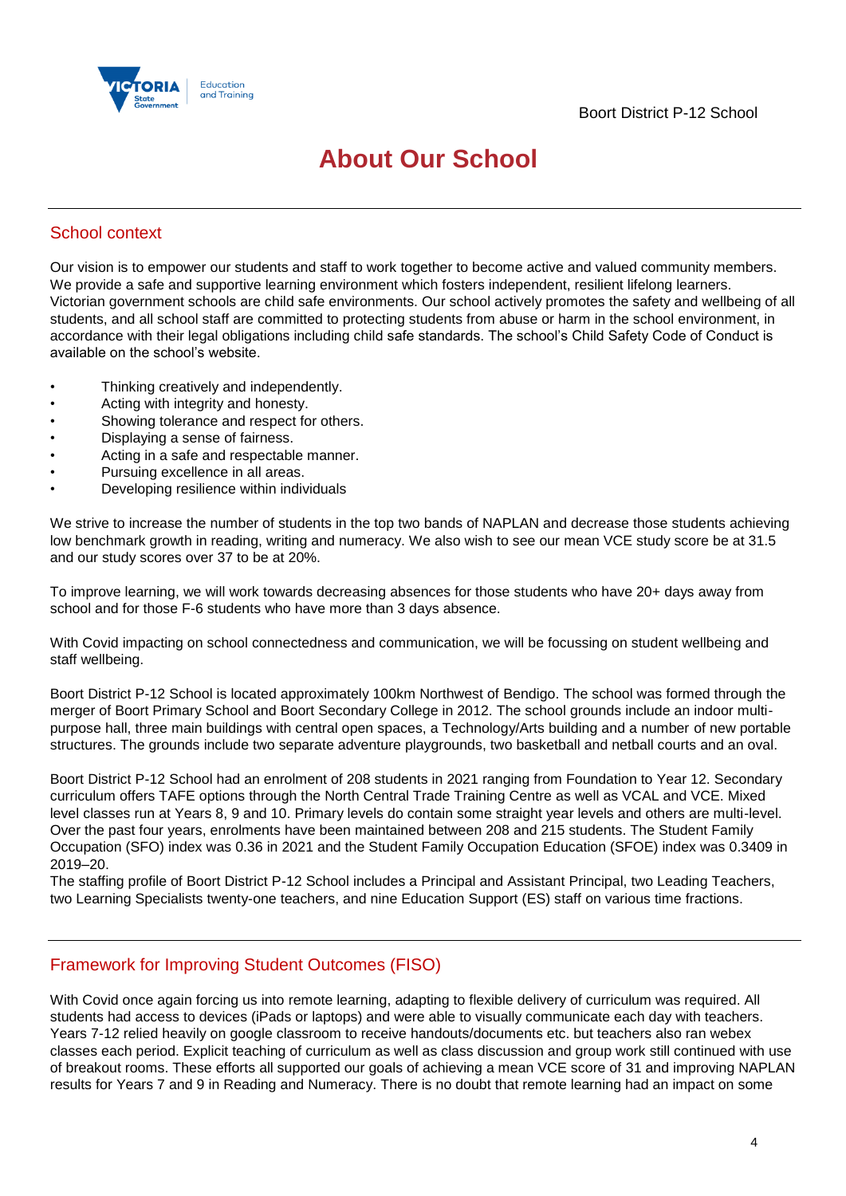

## **About Our School**

## School context

Our vision is to empower our students and staff to work together to become active and valued community members. We provide a safe and supportive learning environment which fosters independent, resilient lifelong learners. Victorian government schools are child safe environments. Our school actively promotes the safety and wellbeing of all students, and all school staff are committed to protecting students from abuse or harm in the school environment, in accordance with their legal obligations including child safe standards. The school's Child Safety Code of Conduct is available on the school's website.

- Thinking creatively and independently.
- Acting with integrity and honesty.
- Showing tolerance and respect for others.
- Displaying a sense of fairness.
- Acting in a safe and respectable manner.
- Pursuing excellence in all areas.
- Developing resilience within individuals

We strive to increase the number of students in the top two bands of NAPLAN and decrease those students achieving low benchmark growth in reading, writing and numeracy. We also wish to see our mean VCE study score be at 31.5 and our study scores over 37 to be at 20%.

To improve learning, we will work towards decreasing absences for those students who have 20+ days away from school and for those F-6 students who have more than 3 days absence.

With Covid impacting on school connectedness and communication, we will be focussing on student wellbeing and staff wellbeing.

Boort District P-12 School is located approximately 100km Northwest of Bendigo. The school was formed through the merger of Boort Primary School and Boort Secondary College in 2012. The school grounds include an indoor multipurpose hall, three main buildings with central open spaces, a Technology/Arts building and a number of new portable structures. The grounds include two separate adventure playgrounds, two basketball and netball courts and an oval.

Boort District P-12 School had an enrolment of 208 students in 2021 ranging from Foundation to Year 12. Secondary curriculum offers TAFE options through the North Central Trade Training Centre as well as VCAL and VCE. Mixed level classes run at Years 8, 9 and 10. Primary levels do contain some straight year levels and others are multi-level. Over the past four years, enrolments have been maintained between 208 and 215 students. The Student Family Occupation (SFO) index was 0.36 in 2021 and the Student Family Occupation Education (SFOE) index was 0.3409 in 2019–20.

The staffing profile of Boort District P-12 School includes a Principal and Assistant Principal, two Leading Teachers, two Learning Specialists twenty-one teachers, and nine Education Support (ES) staff on various time fractions.

## Framework for Improving Student Outcomes (FISO)

With Covid once again forcing us into remote learning, adapting to flexible delivery of curriculum was required. All students had access to devices (iPads or laptops) and were able to visually communicate each day with teachers. Years 7-12 relied heavily on google classroom to receive handouts/documents etc. but teachers also ran webex classes each period. Explicit teaching of curriculum as well as class discussion and group work still continued with use of breakout rooms. These efforts all supported our goals of achieving a mean VCE score of 31 and improving NAPLAN results for Years 7 and 9 in Reading and Numeracy. There is no doubt that remote learning had an impact on some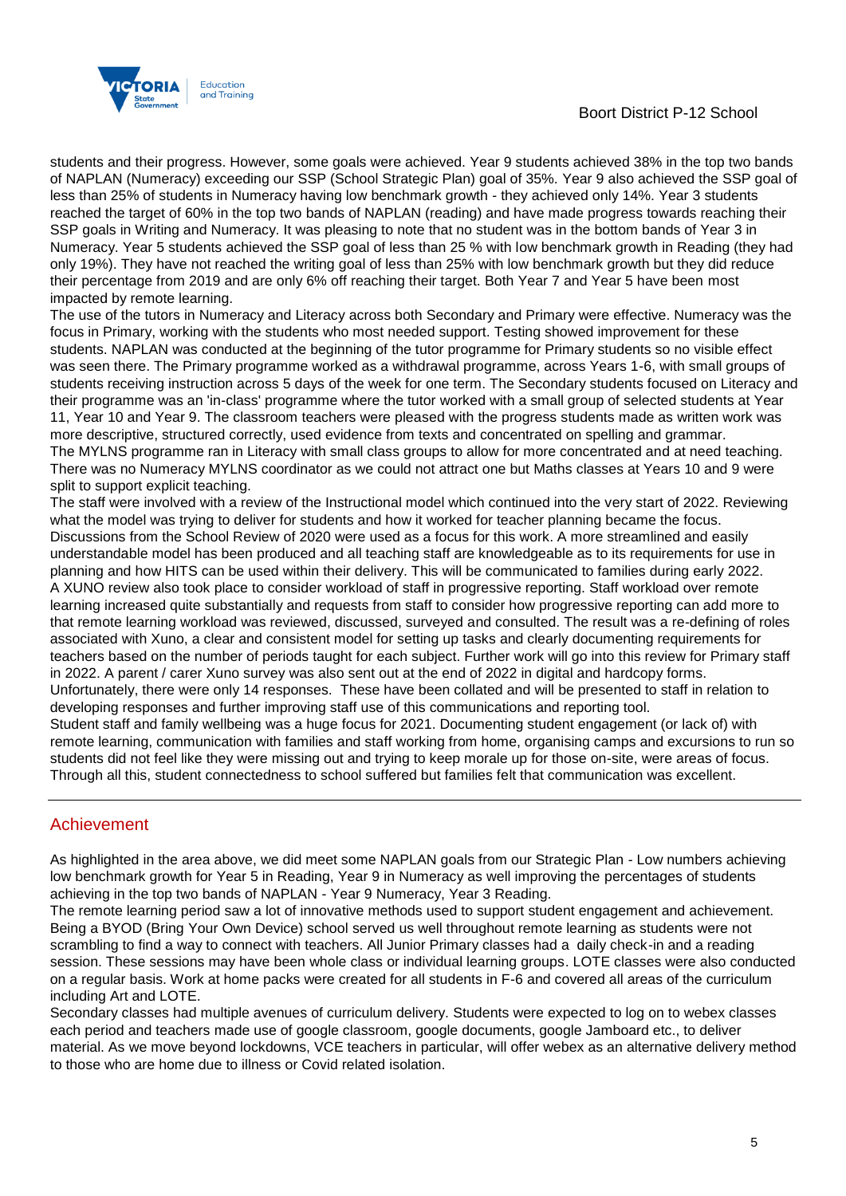### Boort District P-12 School



students and their progress. However, some goals were achieved. Year 9 students achieved 38% in the top two bands of NAPLAN (Numeracy) exceeding our SSP (School Strategic Plan) goal of 35%. Year 9 also achieved the SSP goal of less than 25% of students in Numeracy having low benchmark growth - they achieved only 14%. Year 3 students reached the target of 60% in the top two bands of NAPLAN (reading) and have made progress towards reaching their SSP goals in Writing and Numeracy. It was pleasing to note that no student was in the bottom bands of Year 3 in Numeracy. Year 5 students achieved the SSP goal of less than 25 % with low benchmark growth in Reading (they had only 19%). They have not reached the writing goal of less than 25% with low benchmark growth but they did reduce their percentage from 2019 and are only 6% off reaching their target. Both Year 7 and Year 5 have been most impacted by remote learning.

The use of the tutors in Numeracy and Literacy across both Secondary and Primary were effective. Numeracy was the focus in Primary, working with the students who most needed support. Testing showed improvement for these students. NAPLAN was conducted at the beginning of the tutor programme for Primary students so no visible effect was seen there. The Primary programme worked as a withdrawal programme, across Years 1-6, with small groups of students receiving instruction across 5 days of the week for one term. The Secondary students focused on Literacy and their programme was an 'in-class' programme where the tutor worked with a small group of selected students at Year 11, Year 10 and Year 9. The classroom teachers were pleased with the progress students made as written work was more descriptive, structured correctly, used evidence from texts and concentrated on spelling and grammar. The MYLNS programme ran in Literacy with small class groups to allow for more concentrated and at need teaching. There was no Numeracy MYLNS coordinator as we could not attract one but Maths classes at Years 10 and 9 were split to support explicit teaching.

The staff were involved with a review of the Instructional model which continued into the very start of 2022. Reviewing what the model was trying to deliver for students and how it worked for teacher planning became the focus. Discussions from the School Review of 2020 were used as a focus for this work. A more streamlined and easily understandable model has been produced and all teaching staff are knowledgeable as to its requirements for use in planning and how HITS can be used within their delivery. This will be communicated to families during early 2022. A XUNO review also took place to consider workload of staff in progressive reporting. Staff workload over remote learning increased quite substantially and requests from staff to consider how progressive reporting can add more to that remote learning workload was reviewed, discussed, surveyed and consulted. The result was a re-defining of roles associated with Xuno, a clear and consistent model for setting up tasks and clearly documenting requirements for teachers based on the number of periods taught for each subject. Further work will go into this review for Primary staff in 2022. A parent / carer Xuno survey was also sent out at the end of 2022 in digital and hardcopy forms. Unfortunately, there were only 14 responses. These have been collated and will be presented to staff in relation to developing responses and further improving staff use of this communications and reporting tool. Student staff and family wellbeing was a huge focus for 2021. Documenting student engagement (or lack of) with remote learning, communication with families and staff working from home, organising camps and excursions to run so students did not feel like they were missing out and trying to keep morale up for those on-site, were areas of focus. Through all this, student connectedness to school suffered but families felt that communication was excellent.

## Achievement

As highlighted in the area above, we did meet some NAPLAN goals from our Strategic Plan - Low numbers achieving low benchmark growth for Year 5 in Reading, Year 9 in Numeracy as well improving the percentages of students achieving in the top two bands of NAPLAN - Year 9 Numeracy, Year 3 Reading.

The remote learning period saw a lot of innovative methods used to support student engagement and achievement. Being a BYOD (Bring Your Own Device) school served us well throughout remote learning as students were not scrambling to find a way to connect with teachers. All Junior Primary classes had a daily check-in and a reading session. These sessions may have been whole class or individual learning groups. LOTE classes were also conducted on a regular basis. Work at home packs were created for all students in F-6 and covered all areas of the curriculum including Art and LOTE.

Secondary classes had multiple avenues of curriculum delivery. Students were expected to log on to webex classes each period and teachers made use of google classroom, google documents, google Jamboard etc., to deliver material. As we move beyond lockdowns, VCE teachers in particular, will offer webex as an alternative delivery method to those who are home due to illness or Covid related isolation.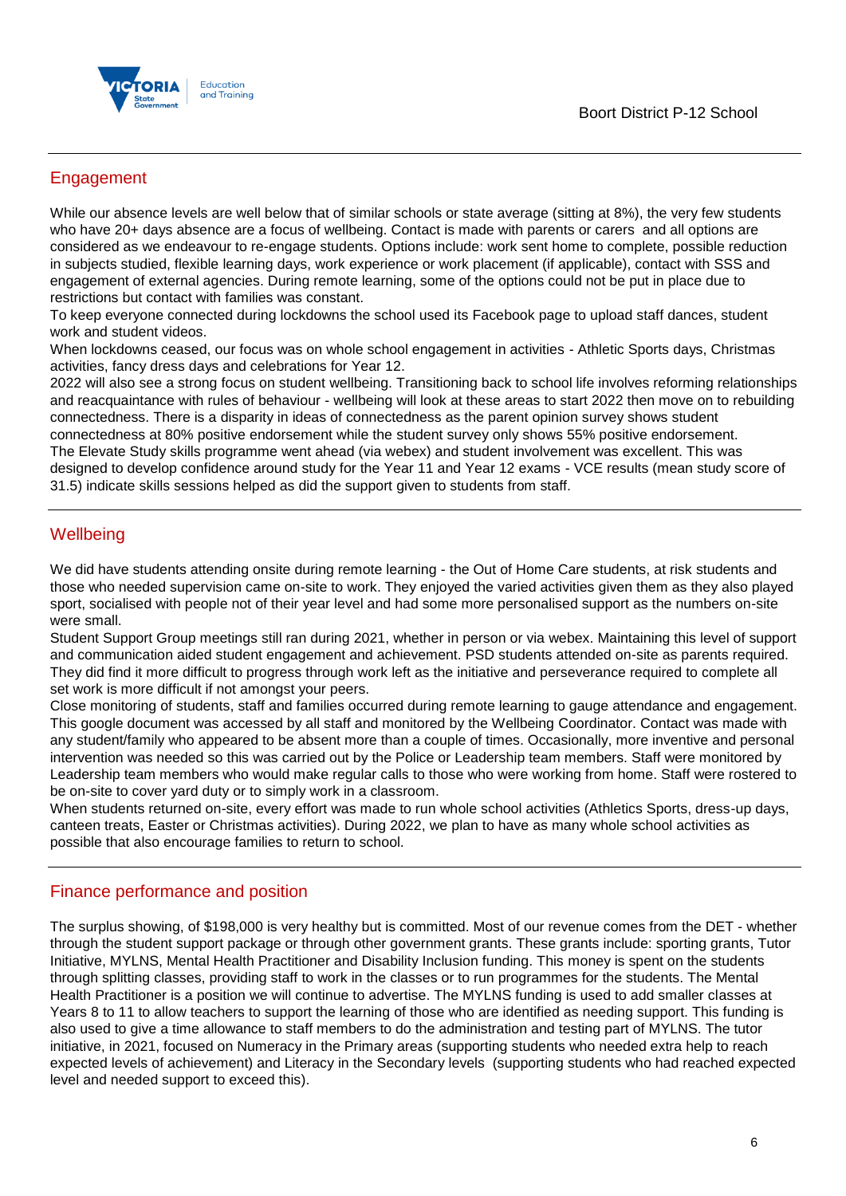

## Engagement

While our absence levels are well below that of similar schools or state average (sitting at 8%), the very few students who have 20+ days absence are a focus of wellbeing. Contact is made with parents or carers and all options are considered as we endeavour to re-engage students. Options include: work sent home to complete, possible reduction in subjects studied, flexible learning days, work experience or work placement (if applicable), contact with SSS and engagement of external agencies. During remote learning, some of the options could not be put in place due to restrictions but contact with families was constant.

To keep everyone connected during lockdowns the school used its Facebook page to upload staff dances, student work and student videos.

When lockdowns ceased, our focus was on whole school engagement in activities - Athletic Sports days, Christmas activities, fancy dress days and celebrations for Year 12.

2022 will also see a strong focus on student wellbeing. Transitioning back to school life involves reforming relationships and reacquaintance with rules of behaviour - wellbeing will look at these areas to start 2022 then move on to rebuilding connectedness. There is a disparity in ideas of connectedness as the parent opinion survey shows student connectedness at 80% positive endorsement while the student survey only shows 55% positive endorsement. The Elevate Study skills programme went ahead (via webex) and student involvement was excellent. This was designed to develop confidence around study for the Year 11 and Year 12 exams - VCE results (mean study score of 31.5) indicate skills sessions helped as did the support given to students from staff.

## **Wellbeing**

We did have students attending onsite during remote learning - the Out of Home Care students, at risk students and those who needed supervision came on-site to work. They enjoyed the varied activities given them as they also played sport, socialised with people not of their year level and had some more personalised support as the numbers on-site were small.

Student Support Group meetings still ran during 2021, whether in person or via webex. Maintaining this level of support and communication aided student engagement and achievement. PSD students attended on-site as parents required. They did find it more difficult to progress through work left as the initiative and perseverance required to complete all set work is more difficult if not amongst your peers.

Close monitoring of students, staff and families occurred during remote learning to gauge attendance and engagement. This google document was accessed by all staff and monitored by the Wellbeing Coordinator. Contact was made with any student/family who appeared to be absent more than a couple of times. Occasionally, more inventive and personal intervention was needed so this was carried out by the Police or Leadership team members. Staff were monitored by Leadership team members who would make regular calls to those who were working from home. Staff were rostered to be on-site to cover yard duty or to simply work in a classroom.

When students returned on-site, every effort was made to run whole school activities (Athletics Sports, dress-up days, canteen treats, Easter or Christmas activities). During 2022, we plan to have as many whole school activities as possible that also encourage families to return to school.

## Finance performance and position

The surplus showing, of \$198,000 is very healthy but is committed. Most of our revenue comes from the DET - whether through the student support package or through other government grants. These grants include: sporting grants, Tutor Initiative, MYLNS, Mental Health Practitioner and Disability Inclusion funding. This money is spent on the students through splitting classes, providing staff to work in the classes or to run programmes for the students. The Mental Health Practitioner is a position we will continue to advertise. The MYLNS funding is used to add smaller classes at Years 8 to 11 to allow teachers to support the learning of those who are identified as needing support. This funding is also used to give a time allowance to staff members to do the administration and testing part of MYLNS. The tutor initiative, in 2021, focused on Numeracy in the Primary areas (supporting students who needed extra help to reach expected levels of achievement) and Literacy in the Secondary levels (supporting students who had reached expected level and needed support to exceed this).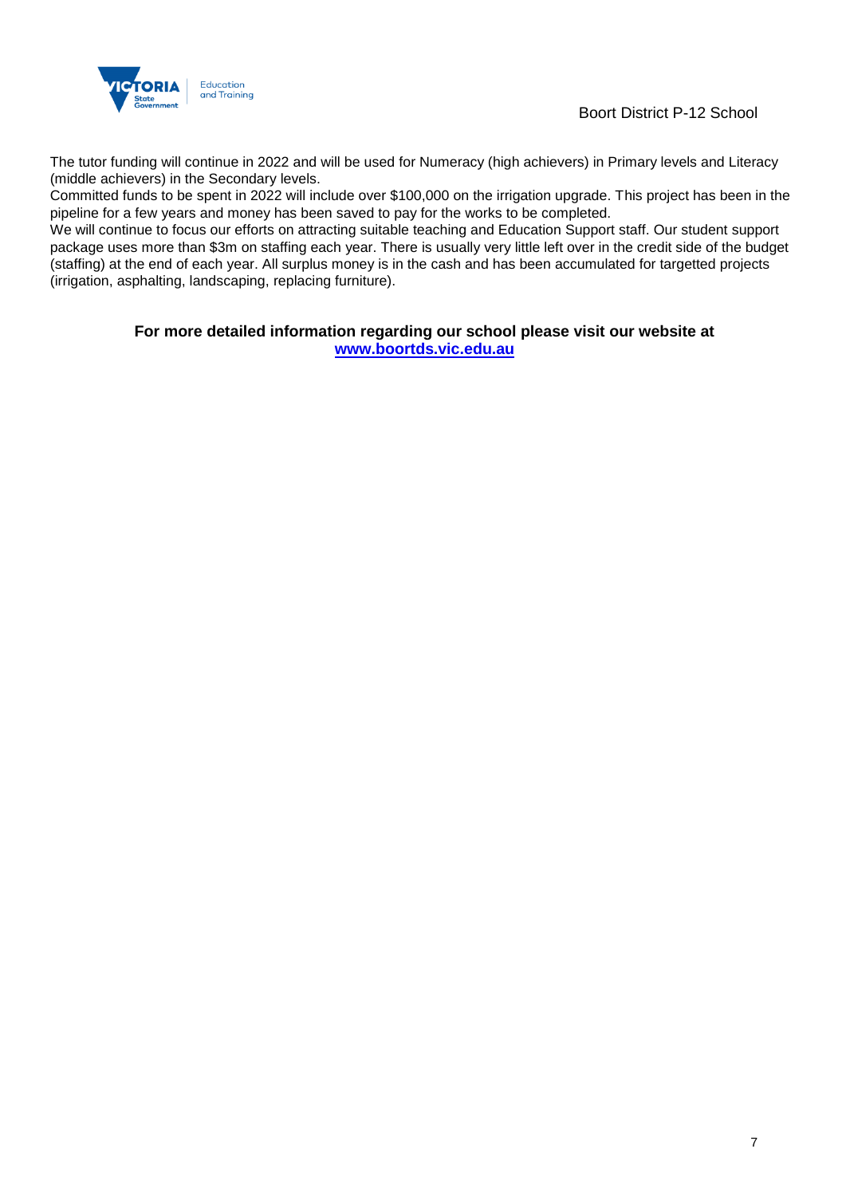

Boort District P-12 School

The tutor funding will continue in 2022 and will be used for Numeracy (high achievers) in Primary levels and Literacy (middle achievers) in the Secondary levels.

Committed funds to be spent in 2022 will include over \$100,000 on the irrigation upgrade. This project has been in the pipeline for a few years and money has been saved to pay for the works to be completed.

We will continue to focus our efforts on attracting suitable teaching and Education Support staff. Our student support package uses more than \$3m on staffing each year. There is usually very little left over in the credit side of the budget (staffing) at the end of each year. All surplus money is in the cash and has been accumulated for targetted projects (irrigation, asphalting, landscaping, replacing furniture).

> **For more detailed information regarding our school please visit our website at [www.boortds.vic.edu.au](file:///C:/Users/01974427/Downloads/www.boortds.vic.edu.au)**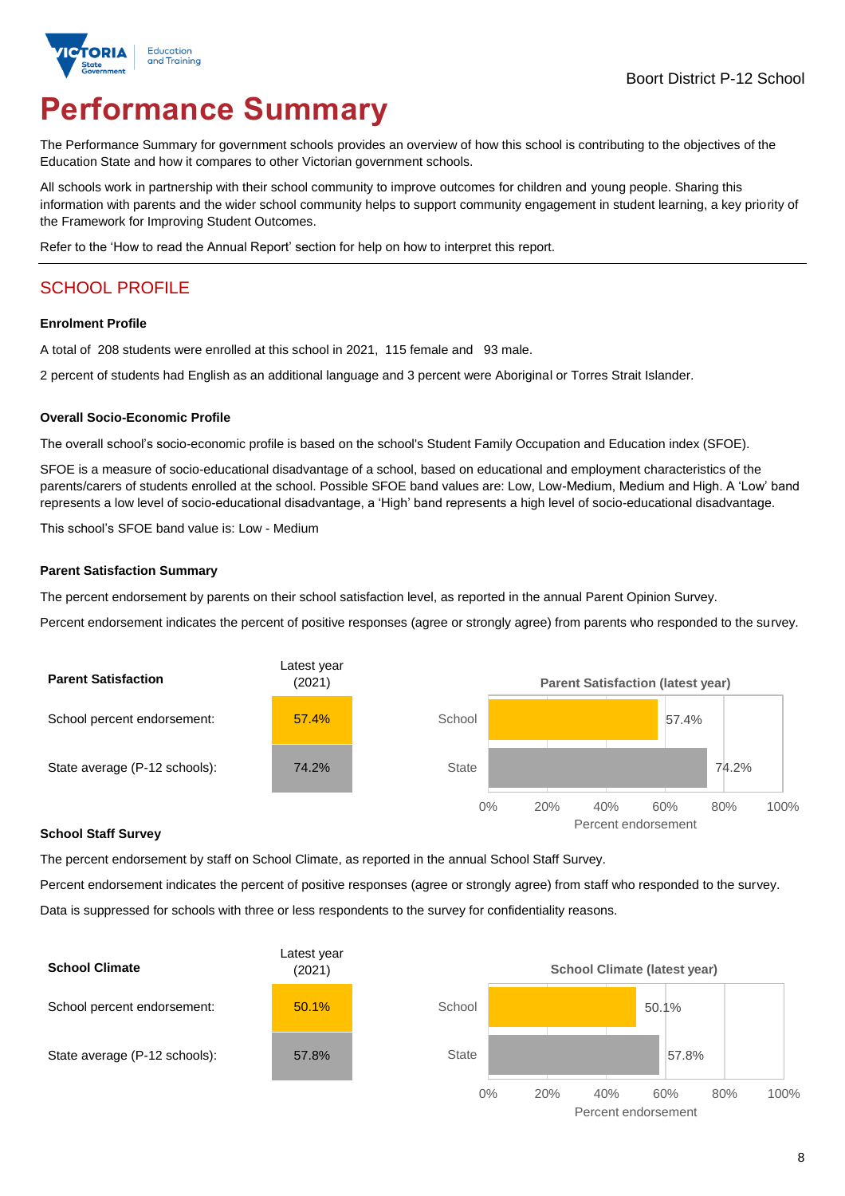

# **Performance Summary**

The Performance Summary for government schools provides an overview of how this school is contributing to the objectives of the Education State and how it compares to other Victorian government schools.

All schools work in partnership with their school community to improve outcomes for children and young people. Sharing this information with parents and the wider school community helps to support community engagement in student learning, a key priority of the Framework for Improving Student Outcomes.

Refer to the 'How to read the Annual Report' section for help on how to interpret this report.

## SCHOOL PROFILE

#### **Enrolment Profile**

A total of 208 students were enrolled at this school in 2021, 115 female and 93 male.

2 percent of students had English as an additional language and 3 percent were Aboriginal or Torres Strait Islander.

#### **Overall Socio-Economic Profile**

The overall school's socio-economic profile is based on the school's Student Family Occupation and Education index (SFOE).

SFOE is a measure of socio-educational disadvantage of a school, based on educational and employment characteristics of the parents/carers of students enrolled at the school. Possible SFOE band values are: Low, Low-Medium, Medium and High. A 'Low' band represents a low level of socio-educational disadvantage, a 'High' band represents a high level of socio-educational disadvantage.

This school's SFOE band value is: Low - Medium

#### **Parent Satisfaction Summary**

The percent endorsement by parents on their school satisfaction level, as reported in the annual Parent Opinion Survey.

Percent endorsement indicates the percent of positive responses (agree or strongly agree) from parents who responded to the survey.



#### **School Staff Survey**

The percent endorsement by staff on School Climate, as reported in the annual School Staff Survey.

Percent endorsement indicates the percent of positive responses (agree or strongly agree) from staff who responded to the survey. Data is suppressed for schools with three or less respondents to the survey for confidentiality reasons.

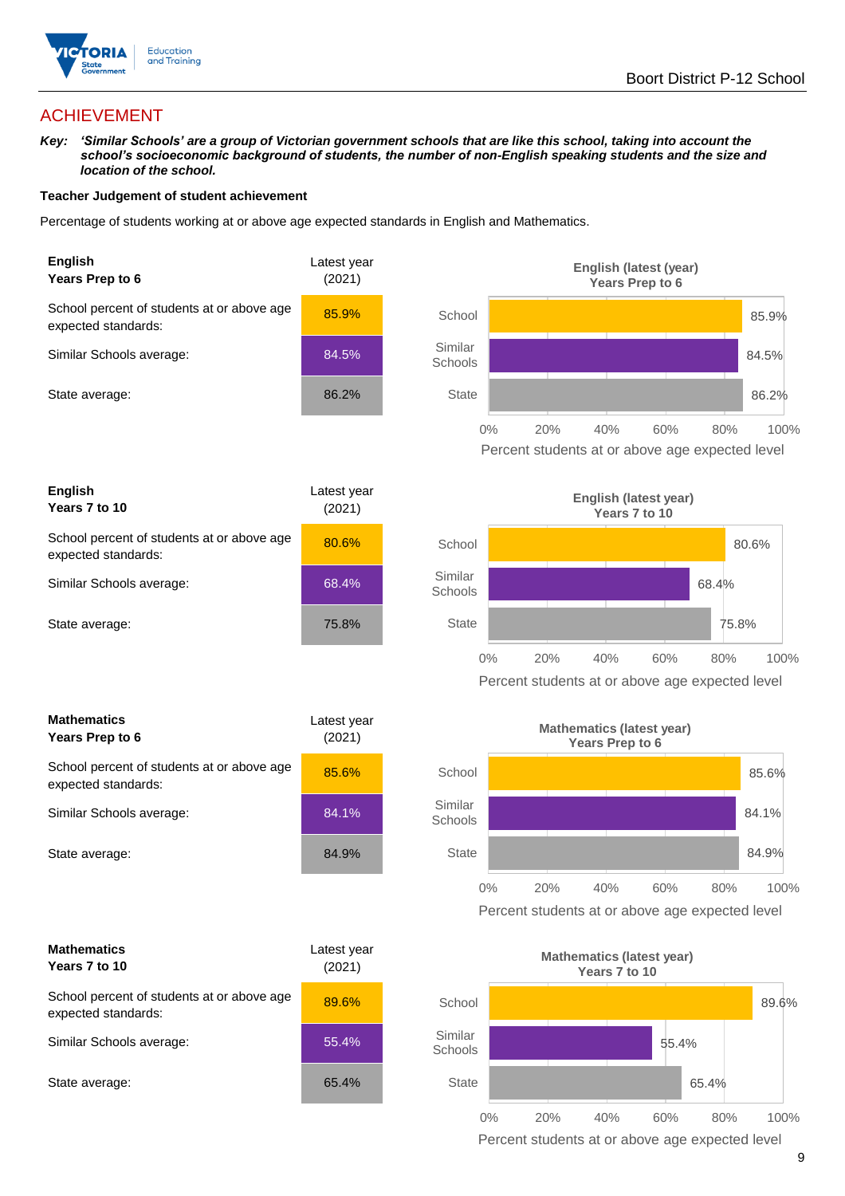

## ACHIEVEMENT

*Key: 'Similar Schools' are a group of Victorian government schools that are like this school, taking into account the school's socioeconomic background of students, the number of non-English speaking students and the size and location of the school.*

#### **Teacher Judgement of student achievement**

Percentage of students working at or above age expected standards in English and Mathematics.





| <b>Mathematics</b><br>Years Prep to 6                             | Latest year<br>(2021) |  |
|-------------------------------------------------------------------|-----------------------|--|
| School percent of students at or above age<br>expected standards: | 85.6%                 |  |
| Similar Schools average:                                          | 84.1%                 |  |
| State average:                                                    | 84.9%                 |  |

| <b>Mathematics</b><br>Years 7 to 10                               | Latest year<br>(2021) |  |
|-------------------------------------------------------------------|-----------------------|--|
| School percent of students at or above age<br>expected standards: | 89.6%                 |  |
| Similar Schools average:                                          | 55.4%                 |  |
| State average:                                                    | 65.4%                 |  |







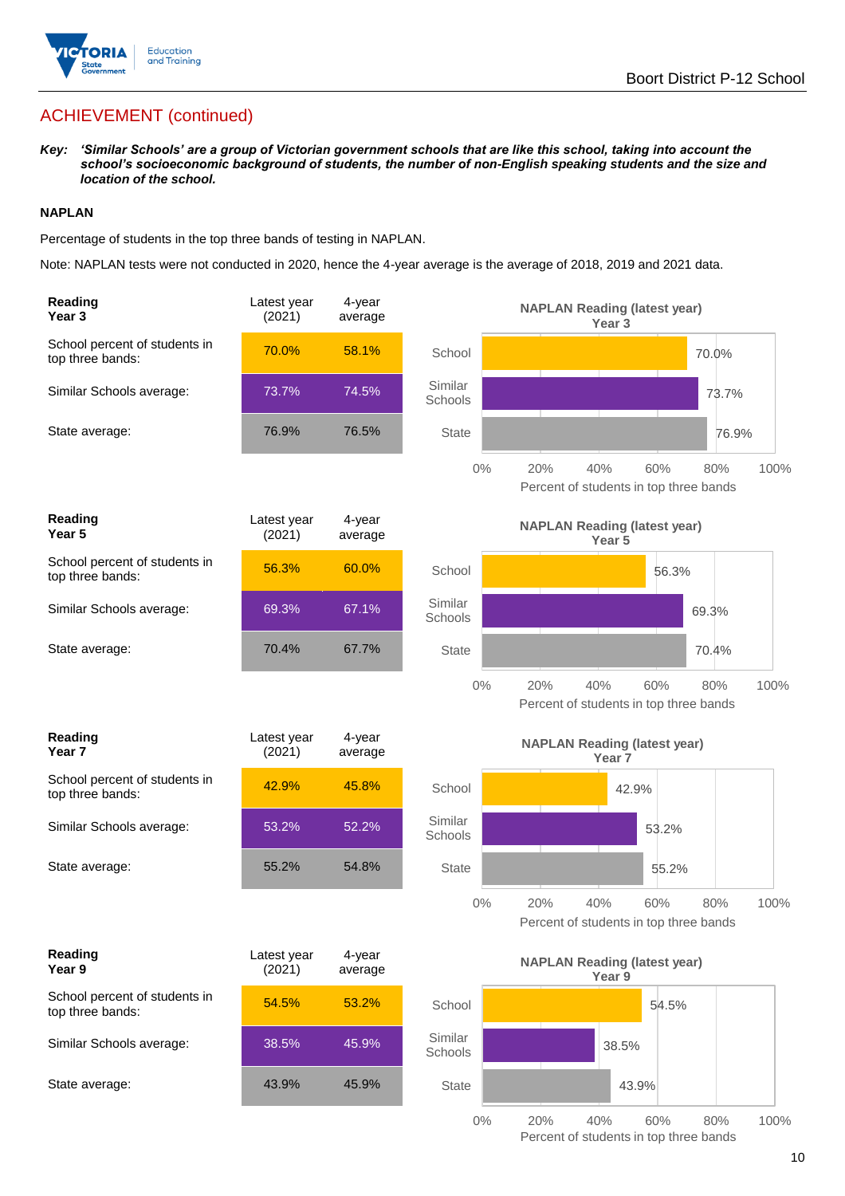

*Key: 'Similar Schools' are a group of Victorian government schools that are like this school, taking into account the school's socioeconomic background of students, the number of non-English speaking students and the size and location of the school.*

#### **NAPLAN**

Percentage of students in the top three bands of testing in NAPLAN.

Note: NAPLAN tests were not conducted in 2020, hence the 4-year average is the average of 2018, 2019 and 2021 data.

| Reading<br>Year <sub>3</sub>                      | Latest year<br>(2021) | 4-year<br>average |                    | <b>NAPLAN Reading (latest year)</b><br>Year <sub>3</sub>                   |
|---------------------------------------------------|-----------------------|-------------------|--------------------|----------------------------------------------------------------------------|
| School percent of students in<br>top three bands: | 70.0%                 | 58.1%             | School             | 70.0%                                                                      |
| Similar Schools average:                          | 73.7%                 | 74.5%             | Similar<br>Schools | 73.7%                                                                      |
| State average:                                    | 76.9%                 | 76.5%             | <b>State</b>       | 76.9%                                                                      |
|                                                   |                       |                   | $0\%$              | 20%<br>40%<br>60%<br>80%<br>100%<br>Percent of students in top three bands |
| Reading<br>Year 5                                 | Latest year<br>(2021) | 4-year<br>average |                    | <b>NAPLAN Reading (latest year)</b><br>Year 5                              |
| School percent of students in<br>top three bands: | 56.3%                 | 60.0%             | School             | 56.3%                                                                      |
| Similar Schools average:                          | 69.3%                 | 67.1%             | Similar<br>Schools | 69.3%                                                                      |
| State average:                                    | 70.4%                 | 67.7%             | <b>State</b>       | 70.4%                                                                      |
|                                                   |                       |                   | $0\%$              | 20%<br>40%<br>60%<br>80%<br>100%<br>Percent of students in top three bands |
|                                                   |                       |                   |                    |                                                                            |
| Reading<br>Year <sub>7</sub>                      | Latest year<br>(2021) | 4-year<br>average |                    | <b>NAPLAN Reading (latest year)</b><br>Year <sub>7</sub>                   |
| School percent of students in<br>top three bands: | 42.9%                 | 45.8%             | School             | 42.9%                                                                      |
| Similar Schools average:                          | 53.2%                 | 52.2%             | Similar<br>Schools | 53.2%                                                                      |
| State average:                                    | 55.2%                 | 54.8%             | <b>State</b>       | 55.2%                                                                      |
|                                                   |                       |                   | $0\%$              | 20%<br>40%<br>60%<br>80%<br>100%<br>Percent of students in top three bands |
| Reading<br>Year 9                                 | Latest year<br>(2021) | 4-year<br>average |                    | <b>NAPLAN Reading (latest year)</b>                                        |
| School percent of students in<br>top three bands: | 54.5%                 | 53.2%             | School             | Year 9<br>54.5%                                                            |
| Similar Schools average:                          | 38.5%                 | 45.9%             | Similar<br>Schools | 38.5%                                                                      |
| State average:                                    | 43.9%                 | 45.9%             | <b>State</b>       | 43.9%                                                                      |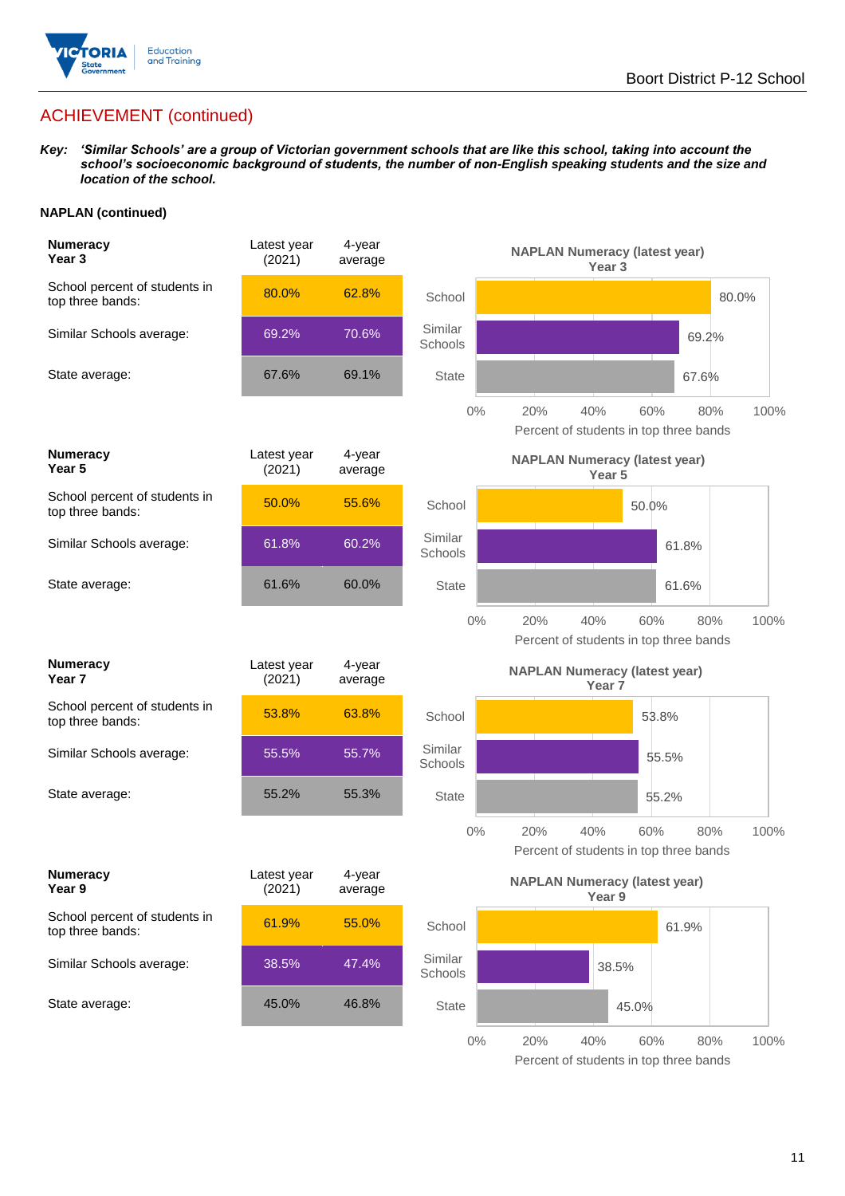

*Key: 'Similar Schools' are a group of Victorian government schools that are like this school, taking into account the school's socioeconomic background of students, the number of non-English speaking students and the size and location of the school.*

#### **NAPLAN (continued)**

| <b>Numeracy</b><br>Year <sub>3</sub>              | Latest year<br>(2021) | 4-year<br>average |                    | <b>NAPLAN Numeracy (latest year)</b><br>Year 3                     |      |
|---------------------------------------------------|-----------------------|-------------------|--------------------|--------------------------------------------------------------------|------|
| School percent of students in<br>top three bands: | 80.0%                 | 62.8%             | School             | 80.0%                                                              |      |
| Similar Schools average:                          | 69.2%                 | 70.6%             | Similar<br>Schools | 69.2%                                                              |      |
| State average:                                    | 67.6%                 | 69.1%             | <b>State</b>       | 67.6%                                                              |      |
|                                                   |                       |                   | $0\%$              | 20%<br>40%<br>60%<br>80%<br>Percent of students in top three bands | 100% |
| <b>Numeracy</b><br>Year 5                         | Latest year<br>(2021) | 4-year<br>average |                    | <b>NAPLAN Numeracy (latest year)</b><br>Year <sub>5</sub>          |      |
| School percent of students in<br>top three bands: | 50.0%                 | 55.6%             | School             | 50.0%                                                              |      |
| Similar Schools average:                          | 61.8%                 | 60.2%             | Similar<br>Schools | 61.8%                                                              |      |
| State average:                                    | 61.6%                 | 60.0%             | <b>State</b>       | 61.6%                                                              |      |
|                                                   |                       |                   | $0\%$              | 20%<br>40%<br>60%<br>80%<br>Percent of students in top three bands | 100% |
| <b>Numeracy</b><br>Year 7                         | Latest year<br>(2021) | 4-year<br>average |                    | <b>NAPLAN Numeracy (latest year)</b><br>Year 7                     |      |
| School percent of students in<br>top three bands: | 53.8%                 | 63.8%             | School             | 53.8%                                                              |      |
| Similar Schools average:                          | 55.5%                 | 55.7%             | Similar<br>Schools | 55.5%                                                              |      |
| State average:                                    | 55.2%                 | 55.3%             | <b>State</b>       | 55.2%                                                              |      |
|                                                   |                       |                   | $0\%$              | 20%<br>40%<br>60%<br>80%<br>Percent of students in top three bands | 100% |
| <b>Numeracy</b><br>Year 9                         | Latest year<br>(2021) | 4-year<br>average |                    | <b>NAPLAN Numeracy (latest year)</b><br>Year 9                     |      |
| School percent of students in<br>top three bands: | 61.9%                 | 55.0%             | School             | 61.9%                                                              |      |
| Similar Schools average:                          | 38.5%                 | 47.4%             | Similar<br>Schools | 38.5%                                                              |      |
| State average:                                    | 45.0%                 | 46.8%             | <b>State</b>       | 45.0%                                                              |      |
|                                                   |                       |                   | $0\%$              | 20%<br>40%<br>$80\%$<br>60%                                        | 100% |

Percent of students in top three bands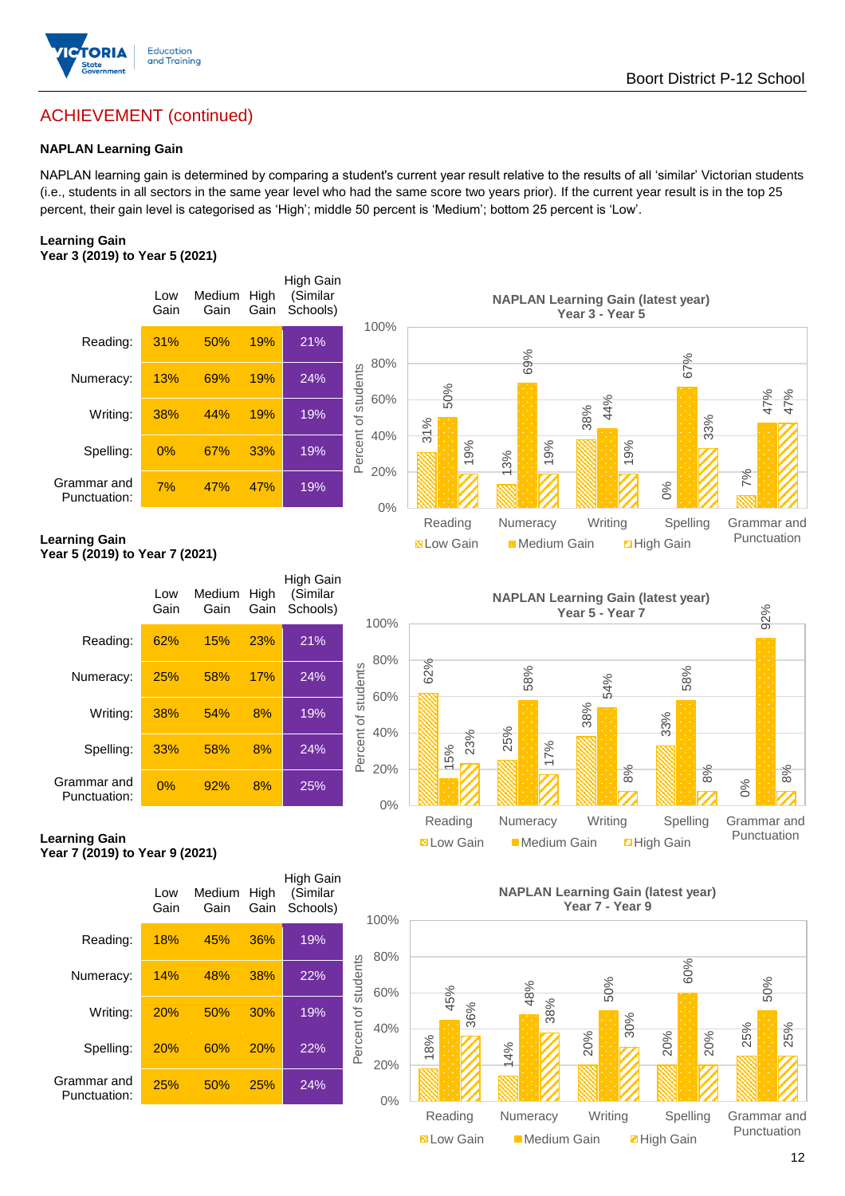

### **NAPLAN Learning Gain**

NAPLAN learning gain is determined by comparing a student's current year result relative to the results of all 'similar' Victorian students (i.e., students in all sectors in the same year level who had the same score two years prior). If the current year result is in the top 25 percent, their gain level is categorised as 'High'; middle 50 percent is 'Medium'; bottom 25 percent is 'Low'.

#### **Learning Gain Year 3 (2019) to Year 5 (2021)**

|                             | Low<br>Gain | Medium<br>Gain | High<br>Gain | High Gain<br>(Similar<br>Schools) |                                   |
|-----------------------------|-------------|----------------|--------------|-----------------------------------|-----------------------------------|
| Reading:                    | 31%         | 50%            | 19%          | 21%                               | 1 <sup>1</sup>                    |
| Numeracy:                   | 13%         | 69%            | 19%          | 24%                               | ξ                                 |
| Writing:                    | 38%         | 44%            | 19%          | 19%                               | Percent of students<br>$\epsilon$ |
| Spelling:                   | 0%          | 67%            | 33%          | 19%                               | $\angle$                          |
| Grammar and<br>Punctuation: | 7%          | 47%            | 47%          | 19%                               | 2                                 |



#### **Learning Gain Year 5 (2019) to Year 7 (2021)**

|                             | Low<br>Gain | Medium<br>Gain | High<br>Gain | High Gain<br>(Similar<br>Schools) | 1 <sup>1</sup>      |
|-----------------------------|-------------|----------------|--------------|-----------------------------------|---------------------|
| Reading:                    | 62%         | 15%            | 23%          | 21%                               |                     |
| Numeracy:                   | 25%         | 58%            | 17%          | 24%                               |                     |
| Writing:                    | 38%         | 54%            | 8%           | 19%                               | Percent of students |
| Spelling:                   | 33%         | 58%            | 8%           | 24%                               |                     |
| Grammar and<br>Punctuation: | 0%          | 92%            | 8%           | 25%                               |                     |



#### **Learning Gain Year 7 (2019) to Year 9 (2021)**

|                             | Low<br>Gain | Medium<br>Gain | High<br>Gain | High Gain<br>(Similar<br>Schools) | 1 <sup>C</sup>           |
|-----------------------------|-------------|----------------|--------------|-----------------------------------|--------------------------|
| Reading:                    | 18%         | 45%            | 36%          | 19%                               | ε                        |
| Numeracy:                   | 14%         | 48%            | 38%          | 22%                               | Percent of students<br>6 |
| Writing:                    | 20%         | 50%            | 30%          | 19%                               | $\angle$                 |
| Spelling:                   | 20%         | 60%            | 20%          | 22%                               | 2                        |
| Grammar and<br>Punctuation: | 25%         | 50%            | 25%          | 24%                               |                          |

#### **NAPLAN Learning Gain (latest year) Year 7 - Year 9**



Punctuation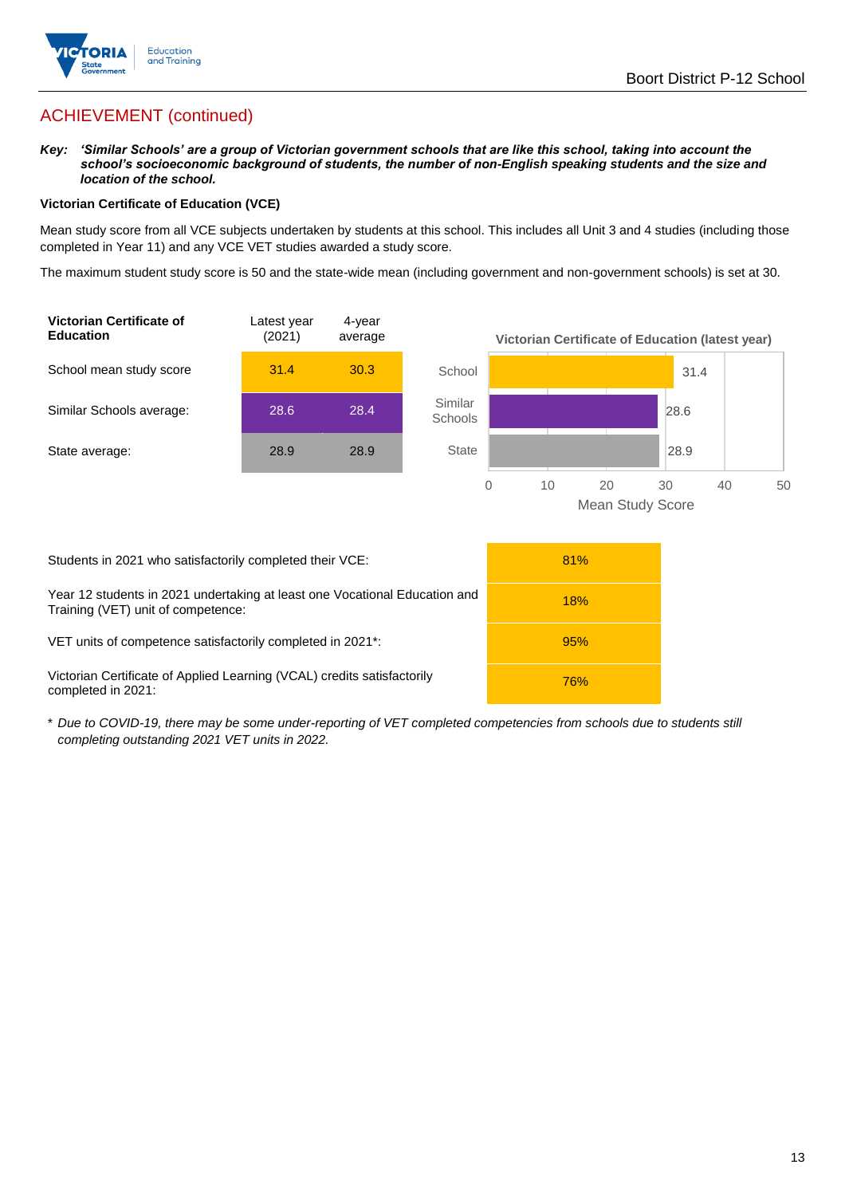

*Key: 'Similar Schools' are a group of Victorian government schools that are like this school, taking into account the school's socioeconomic background of students, the number of non-English speaking students and the size and location of the school.*

#### **Victorian Certificate of Education (VCE)**

Mean study score from all VCE subjects undertaken by students at this school. This includes all Unit 3 and 4 studies (including those completed in Year 11) and any VCE VET studies awarded a study score.

The maximum student study score is 50 and the state-wide mean (including government and non-government schools) is set at 30.



| Students in 2021 who satisfactorily completed their VCE:                                                         | 81%        |
|------------------------------------------------------------------------------------------------------------------|------------|
| Year 12 students in 2021 undertaking at least one Vocational Education and<br>Training (VET) unit of competence: | 18%        |
| VET units of competence satisfactorily completed in 2021 <sup>*</sup> :                                          | 95%        |
| Victorian Certificate of Applied Learning (VCAL) credits satisfactorily<br>completed in 2021:                    | <b>76%</b> |

\* *Due to COVID-19, there may be some under-reporting of VET completed competencies from schools due to students still completing outstanding 2021 VET units in 2022.*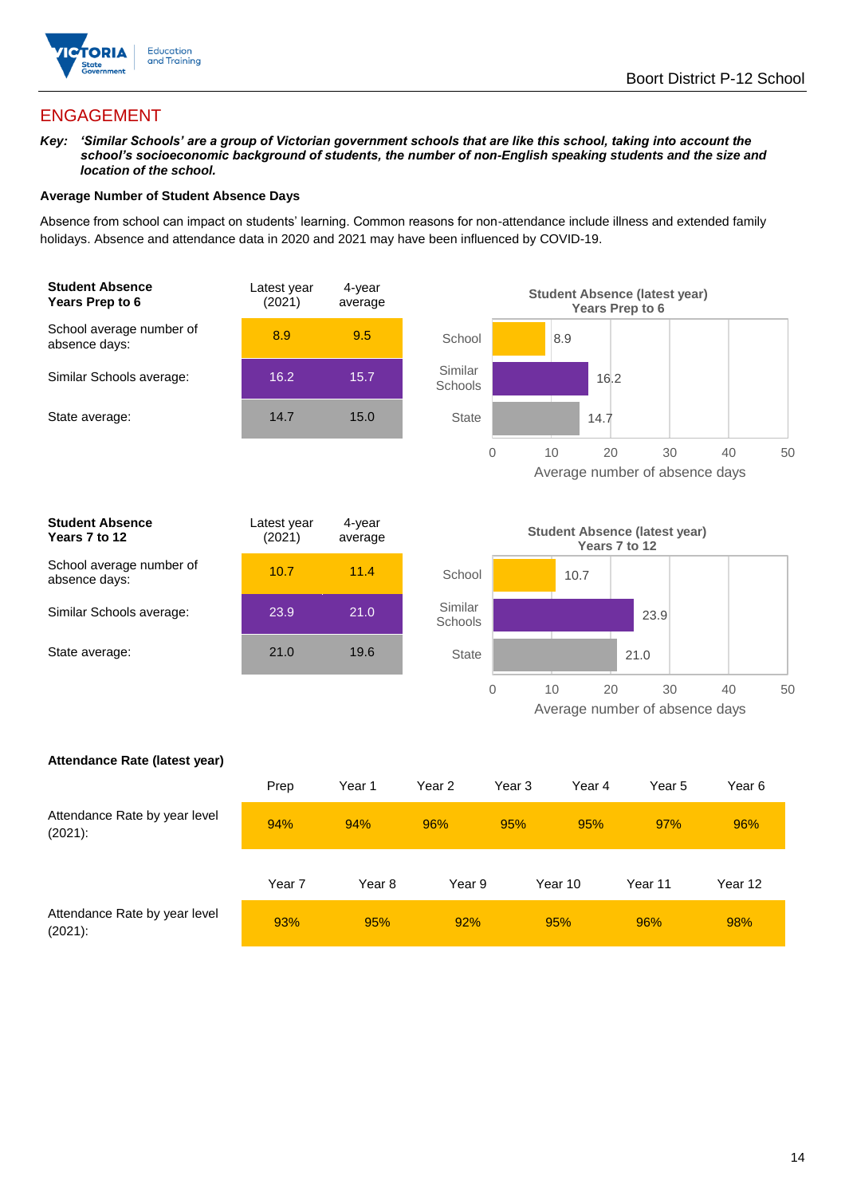

## ENGAGEMENT

*Key: 'Similar Schools' are a group of Victorian government schools that are like this school, taking into account the school's socioeconomic background of students, the number of non-English speaking students and the size and location of the school.*

#### **Average Number of Student Absence Days**

Absence from school can impact on students' learning. Common reasons for non-attendance include illness and extended family holidays. Absence and attendance data in 2020 and 2021 may have been influenced by COVID-19.





| Student Absence<br>Years 7 to 12          | Latest year<br>(2021) | 4-year<br>average |
|-------------------------------------------|-----------------------|-------------------|
| School average number of<br>absence days: | 10.7                  | 11.4              |
| Similar Schools average:                  | 23.9                  | 21.0              |
| State average:                            | 21.0                  | 19.6              |
|                                           |                       |                   |



#### **Attendance Rate (latest year)**

|                                             | Prep   | Year 1 | Year 2 | Year 3 | Year 4  | Year 5  | Year 6  |
|---------------------------------------------|--------|--------|--------|--------|---------|---------|---------|
| Attendance Rate by year level<br>$(2021)$ : | 94%    | 94%    | 96%    | 95%    | 95%     | 97%     | 96%     |
|                                             | Year 7 | Year 8 | Year 9 |        | Year 10 | Year 11 | Year 12 |
| Attendance Rate by year level<br>$(2021)$ : | 93%    | 95%    | 92%    |        | 95%     | 96%     | 98%     |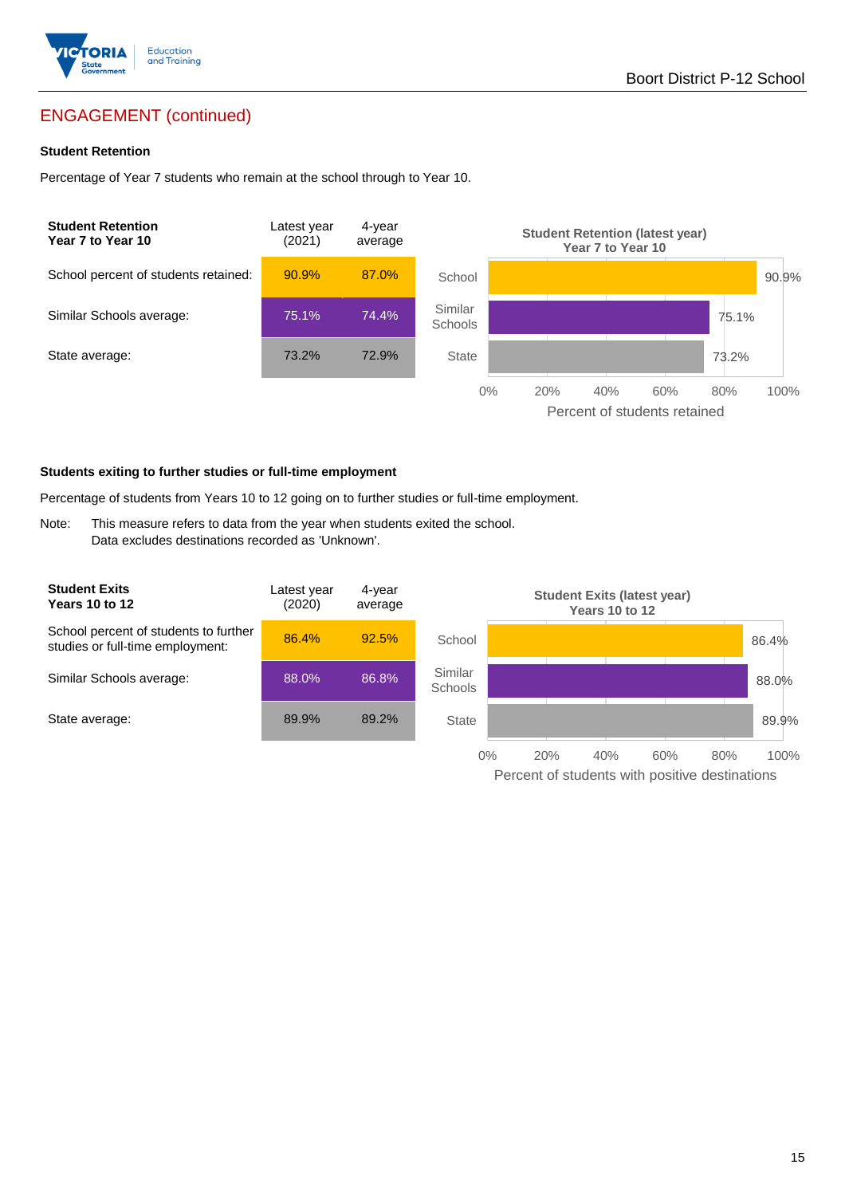

## ENGAGEMENT (continued)

#### **Student Retention**

Percentage of Year 7 students who remain at the school through to Year 10.



#### **Students exiting to further studies or full-time employment**

Percentage of students from Years 10 to 12 going on to further studies or full-time employment.

Note: This measure refers to data from the year when students exited the school. Data excludes destinations recorded as 'Unknown'.

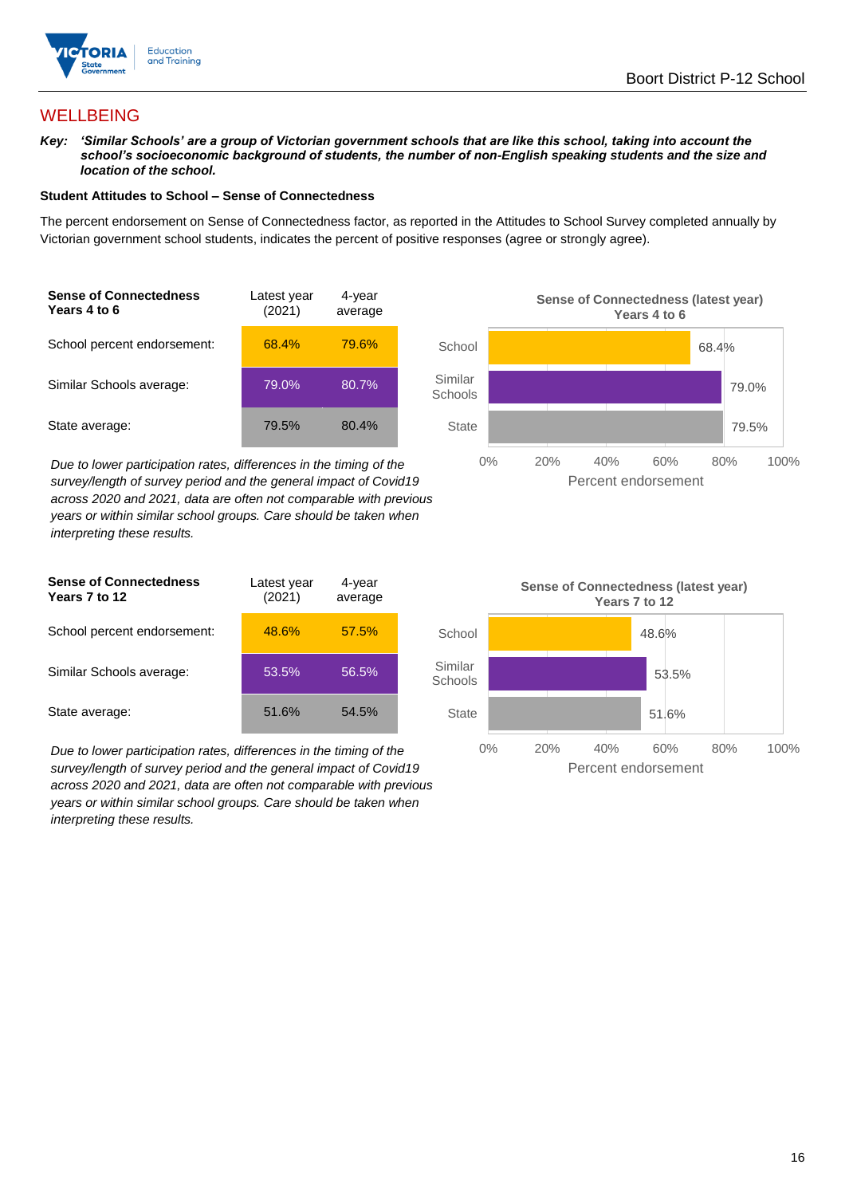

## **WELLBEING**

*Key: 'Similar Schools' are a group of Victorian government schools that are like this school, taking into account the school's socioeconomic background of students, the number of non-English speaking students and the size and location of the school.*

#### **Student Attitudes to School – Sense of Connectedness**

The percent endorsement on Sense of Connectedness factor, as reported in the Attitudes to School Survey completed annually by Victorian government school students, indicates the percent of positive responses (agree or strongly agree).

| <b>Sense of Connectedness</b><br>Years 4 to 6 | Latest year<br>(2021) | 4-year<br>average |  |
|-----------------------------------------------|-----------------------|-------------------|--|
| School percent endorsement:                   | 68.4%                 | 79.6%             |  |
| Similar Schools average:                      | 79.0%                 | 80.7%             |  |
| State average:                                | 79.5%                 | 80.4%             |  |

*Due to lower participation rates, differences in the timing of the survey/length of survey period and the general impact of Covid19 across 2020 and 2021, data are often not comparable with previous years or within similar school groups. Care should be taken when interpreting these results.*





*Due to lower participation rates, differences in the timing of the survey/length of survey period and the general impact of Covid19 across 2020 and 2021, data are often not comparable with previous years or within similar school groups. Care should be taken when interpreting these results.*

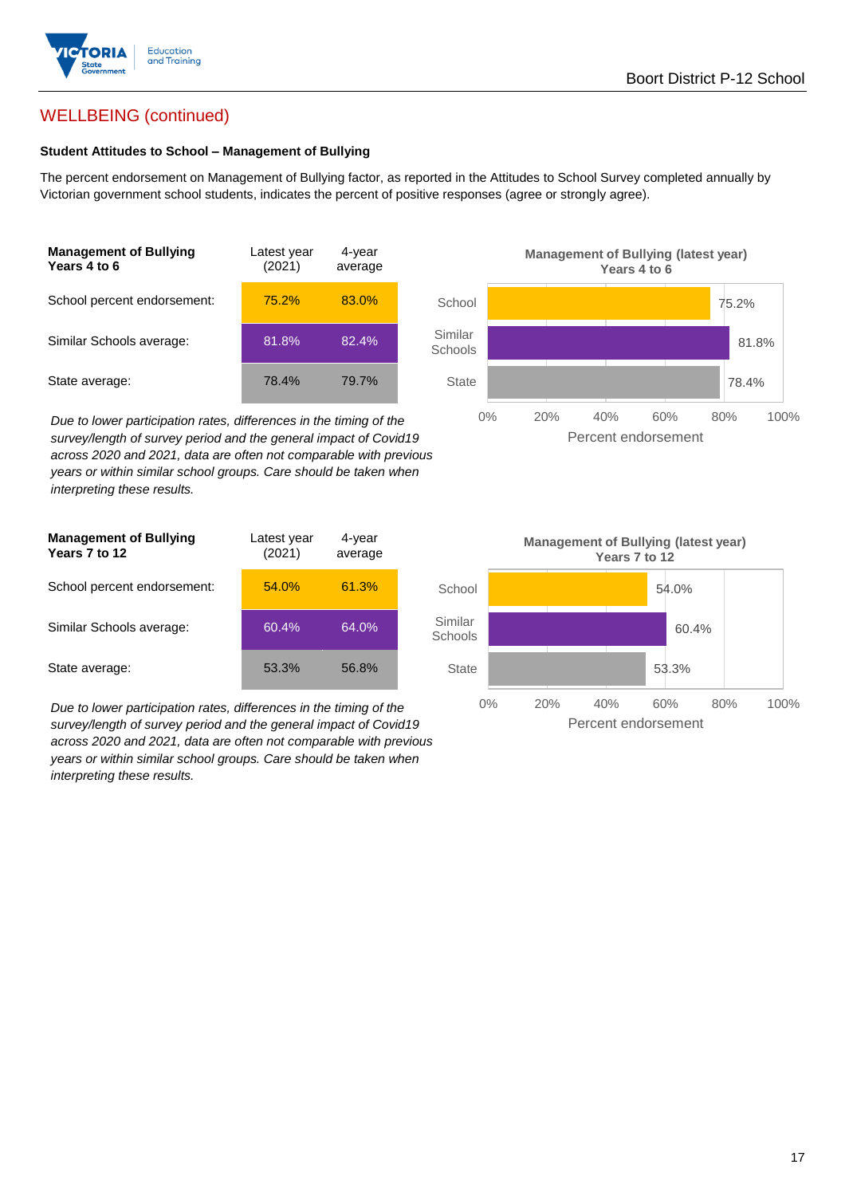

## WELLBEING (continued)

#### **Student Attitudes to School – Management of Bullying**

The percent endorsement on Management of Bullying factor, as reported in the Attitudes to School Survey completed annually by Victorian government school students, indicates the percent of positive responses (agree or strongly agree).

| <b>Management of Bullying</b><br>Years 4 to 6 | Latest year<br>(2021) | 4-year<br>average |  |
|-----------------------------------------------|-----------------------|-------------------|--|
| School percent endorsement:                   | 75.2%                 | 83.0%             |  |
| Similar Schools average:                      | 81.8%                 | 82.4%             |  |
| State average:                                | 78.4%                 | 79.7%             |  |

*Due to lower participation rates, differences in the timing of the survey/length of survey period and the general impact of Covid19 across 2020 and 2021, data are often not comparable with previous years or within similar school groups. Care should be taken when interpreting these results.*

| <b>Management of Bullying</b><br>Years 7 to 12 | Latest year<br>(2021) | 4-year<br>average |  |
|------------------------------------------------|-----------------------|-------------------|--|
| School percent endorsement:                    | 54.0%                 | 61.3%             |  |
| Similar Schools average:                       | 60.4%                 | 64.0%             |  |
| State average:                                 | 53.3%                 | 56.8%             |  |

*Due to lower participation rates, differences in the timing of the survey/length of survey period and the general impact of Covid19 across 2020 and 2021, data are often not comparable with previous years or within similar school groups. Care should be taken when interpreting these results.*



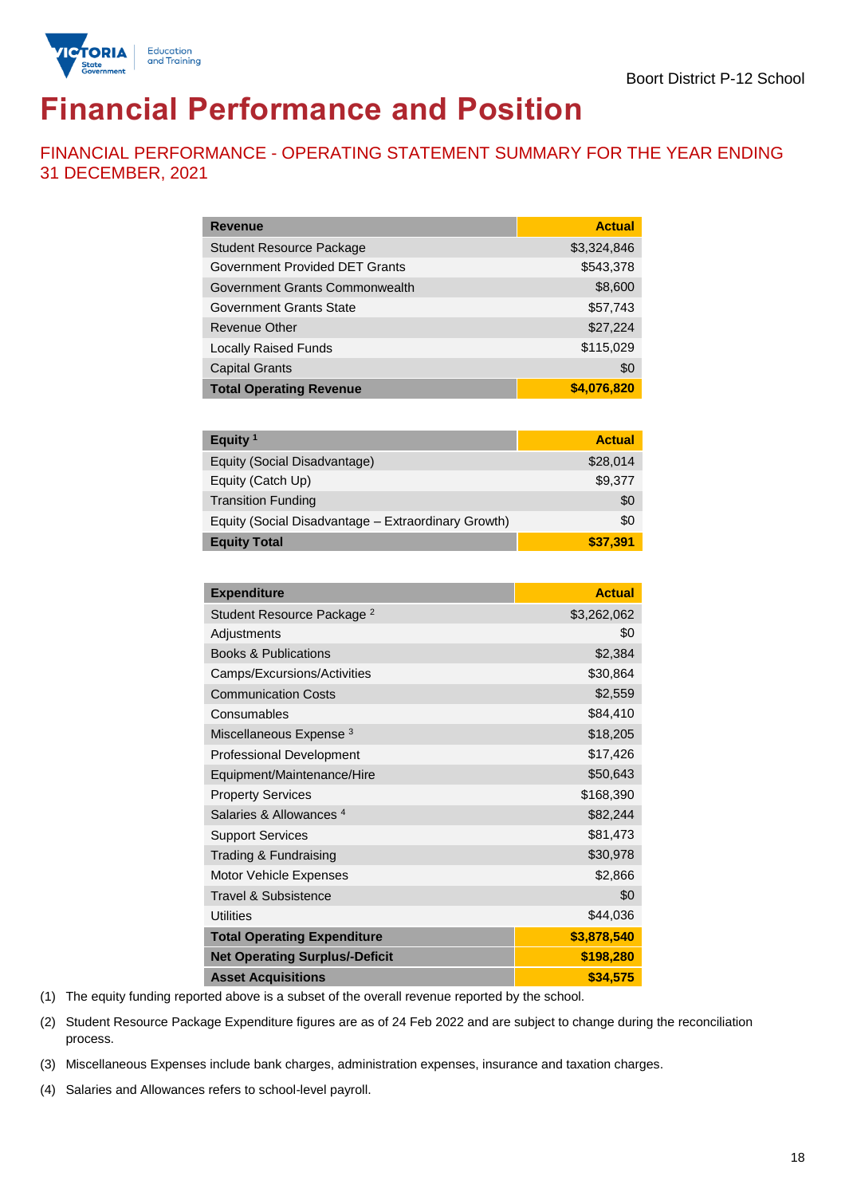## **Financial Performance and Position**

FINANCIAL PERFORMANCE - OPERATING STATEMENT SUMMARY FOR THE YEAR ENDING 31 DECEMBER, 2021

| <b>Revenue</b>                  | <b>Actual</b> |
|---------------------------------|---------------|
| <b>Student Resource Package</b> | \$3,324,846   |
| Government Provided DET Grants  | \$543,378     |
| Government Grants Commonwealth  | \$8,600       |
| Government Grants State         | \$57,743      |
| Revenue Other                   | \$27,224      |
| <b>Locally Raised Funds</b>     | \$115,029     |
| <b>Capital Grants</b>           | \$0           |
| <b>Total Operating Revenue</b>  | \$4,076,820   |

| Equity <sup>1</sup>                                 | <b>Actual</b> |
|-----------------------------------------------------|---------------|
| Equity (Social Disadvantage)                        | \$28,014      |
| Equity (Catch Up)                                   | \$9,377       |
| <b>Transition Funding</b>                           | \$0           |
| Equity (Social Disadvantage - Extraordinary Growth) | \$0           |
| <b>Equity Total</b>                                 | \$37,391      |

| <b>Expenditure</b>                    | <b>Actual</b> |
|---------------------------------------|---------------|
| Student Resource Package <sup>2</sup> | \$3,262,062   |
| Adjustments                           | \$0           |
| <b>Books &amp; Publications</b>       | \$2,384       |
| Camps/Excursions/Activities           | \$30,864      |
| <b>Communication Costs</b>            | \$2,559       |
| Consumables                           | \$84,410      |
| Miscellaneous Expense <sup>3</sup>    | \$18,205      |
| <b>Professional Development</b>       | \$17,426      |
| Equipment/Maintenance/Hire            | \$50,643      |
| <b>Property Services</b>              | \$168,390     |
| Salaries & Allowances <sup>4</sup>    | \$82,244      |
| <b>Support Services</b>               | \$81,473      |
| Trading & Fundraising                 | \$30,978      |
| Motor Vehicle Expenses                | \$2,866       |
| Travel & Subsistence                  | \$0           |
| <b>Utilities</b>                      | \$44,036      |
| <b>Total Operating Expenditure</b>    | \$3,878,540   |
| <b>Net Operating Surplus/-Deficit</b> | \$198,280     |
| <b>Asset Acquisitions</b>             | \$34,575      |

(1) The equity funding reported above is a subset of the overall revenue reported by the school.

(2) Student Resource Package Expenditure figures are as of 24 Feb 2022 and are subject to change during the reconciliation process.

(3) Miscellaneous Expenses include bank charges, administration expenses, insurance and taxation charges.

(4) Salaries and Allowances refers to school-level payroll.